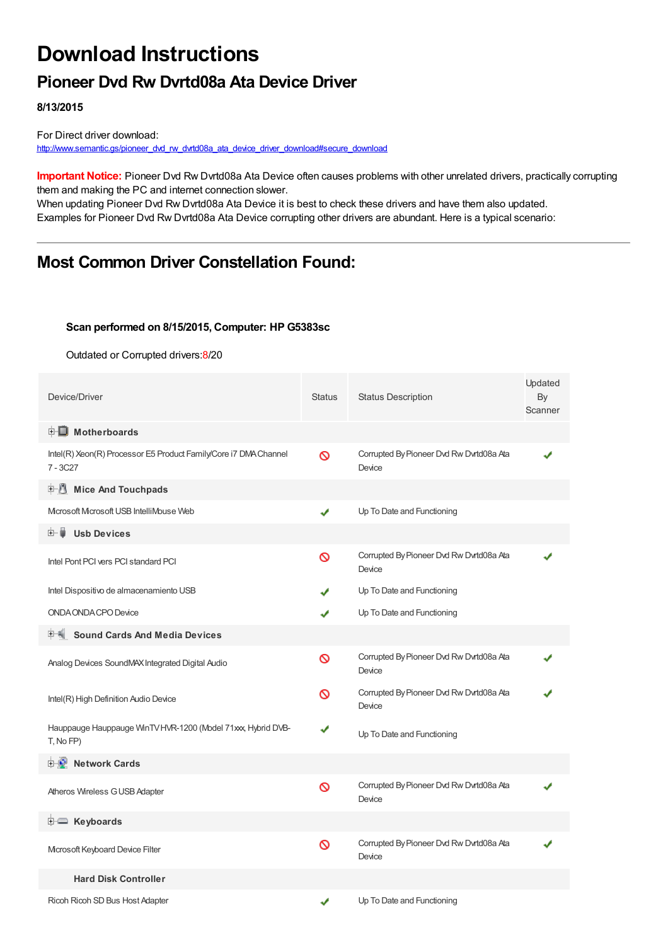# **Download Instructions**

### **Pioneer Dvd Rw Dvrtd08a Ata Device Driver**

**8/13/2015**

For Direct driver download: [http://www.semantic.gs/pioneer\\_dvd\\_rw\\_dvrtd08a\\_ata\\_device\\_driver\\_download#secure\\_download](http://www.semantic.gs/pioneer_dvd_rw_dvrtd08a_ata_device_driver_download#secure_download)

**Important Notice:** Pioneer Dvd Rw Dvrtd08a Ata Device often causes problems with other unrelated drivers, practically corrupting them and making the PC and internet connection slower.

When updating Pioneer Dvd Rw Dvrtd08a Ata Device it is best to check these drivers and have them also updated. Examples for Pioneer Dvd Rw Dvrtd08a Ata Device corrupting other drivers are abundant. Here is a typical scenario:

## **Most Common Driver Constellation Found:**

#### **Scan performed on 8/15/2015, Computer: HP G5383sc**

Outdated or Corrupted drivers:8/20

| Device/Driver                                                                  | <b>Status</b> | <b>Status Description</b>                          | Updated<br>By<br>Scanner |
|--------------------------------------------------------------------------------|---------------|----------------------------------------------------|--------------------------|
| <b>E</b> Motherboards                                                          |               |                                                    |                          |
| Intel(R) Xeon(R) Processor E5 Product Family/Core i7 DMA Channel<br>$7 - 3C27$ | Ø             | Corrupted By Pioneer Dvd Rw Dvrtd08a Ata<br>Device |                          |
| <b>E-8</b><br><b>Mice And Touchpads</b>                                        |               |                                                    |                          |
| Mcrosoft Mcrosoft USB IntelliMouse Web                                         | ✔             | Up To Date and Functioning                         |                          |
| 田… 崖<br><b>Usb Devices</b>                                                     |               |                                                    |                          |
| Intel Pont PCI vers PCI standard PCI                                           | Ø             | Corrupted By Pioneer Dvd Rw Dvrtd08a Ata<br>Device |                          |
| Intel Dispositivo de almacenamiento USB                                        |               | Up To Date and Functioning                         |                          |
| ONDA ONDA CPO Device                                                           | ✔             | Up To Date and Functioning                         |                          |
| <b>Sound Cards And Media Devices</b>                                           |               |                                                    |                          |
| Analog Devices SoundMAX Integrated Digital Audio                               | Ø             | Corrupted By Pioneer Dvd Rw Dvrtd08a Ata<br>Device |                          |
| Intel(R) High Definition Audio Device                                          | Ø             | Corrupted By Pioneer Dvd Rw Dvrtd08a Ata<br>Device |                          |
| Hauppauge Hauppauge WinTV HVR-1200 (Model 71xxx, Hybrid DVB-<br>T, No FP)      | ✔             | Up To Date and Functioning                         |                          |
| <b>Network Cards</b>                                                           |               |                                                    |                          |
| Atheros Wireless G USB Adapter                                                 | Ø             | Corrupted By Pioneer Dvd Rw Dvrtd08a Ata<br>Device |                          |
| <b>E</b> Keyboards                                                             |               |                                                    |                          |
| Microsoft Keyboard Device Filter                                               | Ø             | Corrupted By Pioneer Dvd Rw Dvrtd08a Ata<br>Device |                          |
| <b>Hard Disk Controller</b>                                                    |               |                                                    |                          |
| Ricoh Ricoh SD Bus Host Adapter                                                | ✔             | Up To Date and Functioning                         |                          |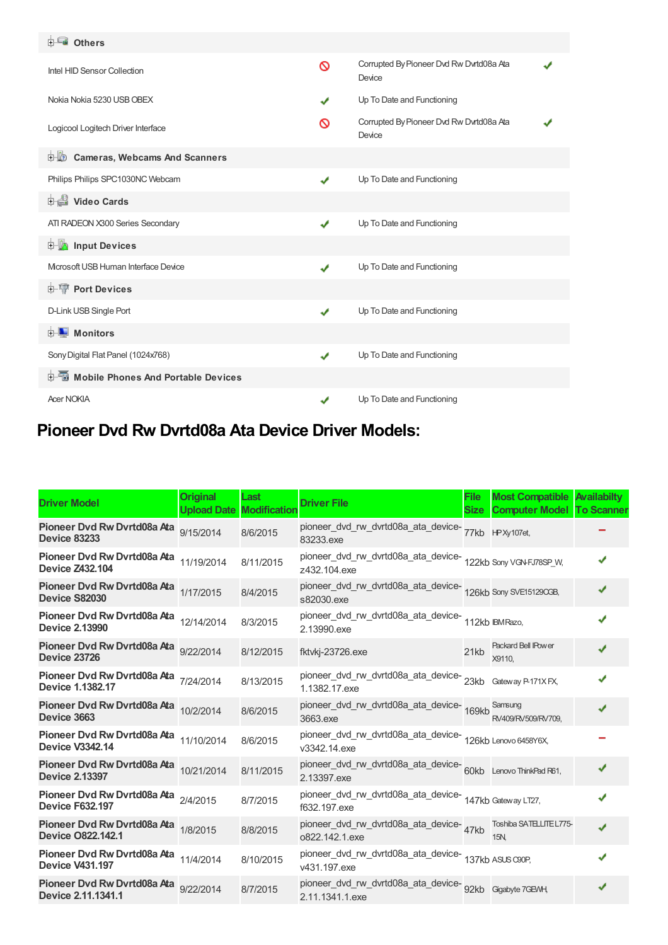| <b>E</b> Others                               |              |                                                    |  |
|-----------------------------------------------|--------------|----------------------------------------------------|--|
| Intel HID Sensor Collection                   | Ø            | Corrupted By Pioneer Dvd Rw Dvrtd08a Ata<br>Device |  |
| Nokia Nokia 5230 USB OBEX                     | ✔            | Up To Date and Functioning                         |  |
| Logicool Logitech Driver Interface            | ര            | Corrupted By Pioneer Dvd Rw Dvrtd08a Ata<br>Device |  |
| <b>D</b> Cameras, Webcams And Scanners        |              |                                                    |  |
| Philips Philips SPC1030NC Webcam              | ✔            | Up To Date and Functioning                         |  |
| Video Cards                                   |              |                                                    |  |
| ATI RADEON X300 Series Secondary              | ✔            | Up To Date and Functioning                         |  |
| <b>Devices</b> Input Devices                  |              |                                                    |  |
| Microsoft USB Human Interface Device          | ✔            | Up To Date and Functioning                         |  |
| <b>E-TP</b> Port Devices                      |              |                                                    |  |
| D-Link USB Single Port                        | $\checkmark$ | Up To Date and Functioning                         |  |
| <b>E</b> Monitors                             |              |                                                    |  |
| Sony Digital Flat Panel (1024x768)            | $\checkmark$ | Up To Date and Functioning                         |  |
| <b>E-6</b> Mobile Phones And Portable Devices |              |                                                    |  |
| <b>Acer NOKIA</b>                             |              | Up To Date and Functioning                         |  |

## **Pioneer Dvd Rw Dvrtd08a Ata Device Driver Models:**

| <b>Driver Model</b>                                              | <b>Original</b><br><b>Upload Date</b> | Last<br><b>Modification</b> | <b>Driver File</b>                                                             | File<br>Size | <b>Most Compatible Availabilty</b><br><b>Computer Model To Scanner</b> |   |
|------------------------------------------------------------------|---------------------------------------|-----------------------------|--------------------------------------------------------------------------------|--------------|------------------------------------------------------------------------|---|
| Pioneer Dvd Rw Dvrtd08a Ata<br><b>Device 83233</b>               | 9/15/2014                             | 8/6/2015                    | pioneer_dvd_rw_dvrtd08a_ata_device-77kb HPXy107et,<br>83233.exe                |              |                                                                        |   |
| Pioneer Dvd Rw Dvrtd08a Ata 11/19/2014<br><b>Device Z432.104</b> |                                       | 8/11/2015                   | pioneer_dvd_rw_dvrtd08a_ata_device-<br>122kb Sony VGNFJ78SP_W,<br>z432.104.exe |              |                                                                        |   |
| Pioneer Dvd Rw Dvrtd08a Ata 1/17/2015<br>Device S82030           |                                       | 8/4/2015                    | pioneer_dvd_rw_dvrtd08a_ata_device-<br>126kb Sony SVE15129OGB,<br>s82030.exe   |              |                                                                        |   |
| Pioneer Dvd Rw Dvrtd08a Ata 12/14/2014<br><b>Device 2.13990</b>  |                                       | 8/3/2015                    | pioneer_dvd_rw_dvrtd08a_ata_device-<br>112kb IBMRazo,<br>2.13990.exe           |              |                                                                        |   |
| Pioneer Dvd Rw Dvrtd08a Ata 9/22/2014<br><b>Device 23726</b>     |                                       | 8/12/2015                   | fktvkj-23726.exe                                                               | 21kb         | <b>Packard Bell IPower</b><br>X9110.                                   |   |
| Pioneer Dvd Rw Dvrtd08a Ata 7/24/2014<br>Device 1.1382.17        |                                       | 8/13/2015                   | pioneer_dvd_rw_dvrtd08a_ata_device-23kb Gateway P171XFX,<br>1.1382.17.exe      |              |                                                                        |   |
| Pioneer Dvd Rw Dvrtd08a Ata 10/2/2014<br>Device 3663             |                                       | 8/6/2015                    | pioneer_dvd_rw_dvrtd08a_ata_device- 169kb Samsung<br>3663.exe                  |              | RV409/RV509/RV709,                                                     |   |
| Pioneer Dvd Rw Dvrtd08a Ata 11/10/2014<br><b>Device V3342.14</b> |                                       | 8/6/2015                    | pioneer_dvd_rw_dvrtd08a_ata_device-<br>126kb Lenovo 6458Y6X,<br>v3342.14.exe   |              |                                                                        |   |
| Pioneer Dvd Rw Dvrtd08a Ata 10/21/2014<br><b>Device 2.13397</b>  |                                       | 8/11/2015                   | pioneer_dvd_rw_dvrtd08a_ata_device-60kb Lenovo ThinkPad R61,<br>2.13397.exe    |              |                                                                        | ✔ |
| Pioneer Dvd Rw Dvrtd08a Ata 2/4/2015<br><b>Device F632.197</b>   |                                       | 8/7/2015                    | pioneer_dvd_rw_dvrtd08a_ata_device-<br>147kb Gateway LT27,<br>f632.197.exe     |              |                                                                        |   |
| Pioneer Dvd Rw Dvrtd08a Ata 1/8/2015<br><b>Device O822.142.1</b> |                                       | 8/8/2015                    | pioneer_dvd_rw_dvrtd08a_ata_device-<br>47kb<br>o822.142.1.exe                  |              | Toshiba SATELLITE L775-<br><b>15N</b>                                  | J |
| Pioneer Dvd Rw Dvrtd08a Ata 11/4/2014<br><b>Device V431.197</b>  |                                       | 8/10/2015                   | pioneer_dvd_rw_dvrtd08a_ata_device-<br>137kb ASUS C90P,<br>v431.197.exe        |              |                                                                        | J |
| Pioneer Dvd Rw Dvrtd08a Ata 9/22/2014<br>Device 2.11.1341.1      |                                       | 8/7/2015                    | pioneer_dvd_rw_dvrtd08a_ata_device-<br>92kb Ggabyte7GEWH,<br>2.11.1341.1.exe   |              |                                                                        |   |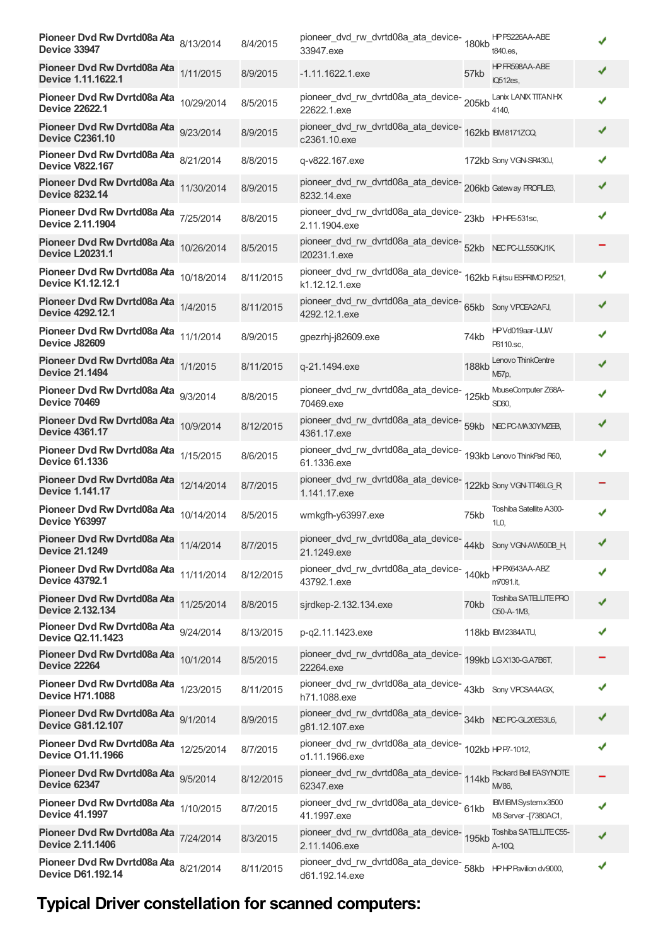| Pioneer Dvd Rw Dvrtd08a Ata 8/13/2014<br><b>Device 33947</b>       |           | 8/4/2015  | pioneer_dvd_rw_dvrtd08a_ata_device-180kb<br>33947.exe                                 |              | HPPS226AA-ABE<br>t840.es,                    |   |
|--------------------------------------------------------------------|-----------|-----------|---------------------------------------------------------------------------------------|--------------|----------------------------------------------|---|
| Pioneer Dvd Rw Dvrtd08a Ata 1/11/2015<br>Device 1.11.1622.1        |           | 8/9/2015  | $-1.11.1622.1$ .exe                                                                   | 57kb         | HPFR598AA-ABE<br>IQ512es,                    |   |
| Pioneer Dvd Rw Dvrtd08a Ata 10/29/2014<br><b>Device 22622.1</b>    |           | 8/5/2015  | pioneer_dvd_rw_dvrtd08a_ata_device-<br>205kb<br>22622.1.exe                           |              | Lanix LANIX TITAN HX<br>4140.                |   |
| Pioneer Dvd Rw Dvrtd08a Ata 9/23/2014<br><b>Device C2361.10</b>    |           | 8/9/2015  | pioneer_dvd_rw_dvrtd08a_ata_device-<br>162kb BM8171ZQQ<br>c2361.10.exe                |              |                                              |   |
| Pioneer Dvd Rw Dvrtd08a Ata 8/21/2014<br><b>Device V822.167</b>    |           | 8/8/2015  | q-v822.167.exe                                                                        |              | 172kb Sony VGN-SR430J,                       |   |
| Pioneer Dvd Rw Dvrtd08a Ata 11/30/2014<br><b>Device 8232.14</b>    |           | 8/9/2015  | pioneer_dvd_rw_dvrtd08a_ata_device-<br>206kb Gateway PROFILE3,<br>8232.14.exe         |              |                                              | ✔ |
| Pioneer Dvd Rw Dvrtd08a Ata 7/25/2014<br><b>Device 2.11.1904</b>   |           | 8/8/2015  | 2.11.1904.exe                                                                         |              |                                              |   |
| Pioneer Dvd Rw Dvrtd08a Ata 10/26/2014<br><b>Device L20231.1</b>   |           | 8/5/2015  | pioneer_dvd_rw_dvrtd08a_ata_device-<br>52kb NECPCLL550KJ1K,<br>I20231.1.exe           |              |                                              |   |
| Pioneer Dvd Rw Dvrtd08a Ata 10/18/2014<br><b>Device K1.12.12.1</b> |           | 8/11/2015 | pioneer_dvd_rw_dvrtd08a_ata_device-<br>162kb Fujitsu ESFRIMO P2521,<br>k1.12.12.1.exe |              |                                              |   |
| Pioneer Dvd Rw Dvrtd08a Ata 1/4/2015<br>Device 4292.12.1           |           | 8/11/2015 | pioneer_dvd_rw_dvrtd08a_ata_device-<br>65kb Sony VPCEA2AFJ,<br>4292.12.1.exe          |              |                                              |   |
| Pioneer Dvd Rw Dvrtd08a Ata 11/1/2014<br>Device J82609             |           | 8/9/2015  | gpezrhj-j82609.exe                                                                    | 74kb         | HPVd019aar-UUW<br>P6110.sc.                  |   |
| Pioneer Dvd Rw Dvrtd08a Ata 1/1/2015<br><b>Device 21.1494</b>      |           | 8/11/2015 | q-21.1494.exe                                                                         | <b>188kb</b> | Lenovo ThinkCentre<br>M <sub>57</sub> р,     |   |
| Pioneer Dvd Rw Dvrtd08a Ata 9/3/2014<br><b>Device 70469</b>        |           | 8/8/2015  | pioneer_dvd_rw_dvrtd08a_ata_device-<br>125kb<br>70469.exe                             |              | MouseComputer Z68A-<br>SD60.                 |   |
| Pioneer Dvd Rw Dvrtd08a Ata 10/9/2014<br><b>Device 4361.17</b>     |           | 8/12/2015 | pioneer_dvd_rw_dvrtd08a_ata_device-<br>59kb NECPC-MA30YMZEB,<br>4361.17.exe           |              |                                              |   |
| Pioneer Dvd Rw Dvrtd08a Ata 1/15/2015<br><b>Device 61.1336</b>     |           | 8/6/2015  | pioneer_dvd_rw_dvrtd08a_ata_device-<br>193kb Lenovo ThinkPad R60,<br>61.1336.exe      |              |                                              |   |
| Pioneer Dvd Rw Dvrtd08a Ata 12/14/2014<br><b>Device 1.141.17</b>   |           | 8/7/2015  | pioneer_dvd_rw_dvrtd08a_ata_device-<br>122kb Sony VGN-TT46LG_R<br>1.141.17.exe        |              |                                              |   |
| Pioneer Dvd Rw Dvrtd08a Ata 10/14/2014<br>Device Y63997            |           | 8/5/2015  | wmkgfh-y63997.exe                                                                     | 75kb         | Toshiba Satellite A300-<br>1L0               |   |
| Pioneer Dvd Rw Dvrtd08a Ata 11/4/2014<br><b>Device 21.1249</b>     |           | 8/7/2015  | pioneer_dvd_rw_dvrtd08a_ata_device-44kb Sony VGN-AW50DB_H<br>21.1249.exe              |              |                                              | ✔ |
| Pioneer Dvd Rw Dvrtd08a Ata 11/11/2014<br><b>Device 43792.1</b>    |           | 8/12/2015 | pioneer_dvd_rw_dvrtd08a_ata_device-<br>140kb<br>43792.1.exe                           |              | HPPX643AA-ABZ<br>m7091.it,                   | ✔ |
| Pioneer Dvd Rw Dvrtd08a Ata 11/25/2014<br><b>Device 2.132.134</b>  |           | 8/8/2015  | sjrdkep-2.132.134.exe                                                                 | 70kb         | Toshiba SATELLITE PRO<br>C50-A-1M3,          |   |
| Pioneer Dvd Rw Dvrtd08a Ata<br><b>Device Q2.11.1423</b>            | 9/24/2014 | 8/13/2015 | p-q2.11.1423.exe                                                                      |              | 118kb IBM2384ATU,                            |   |
| Pioneer Dvd Rw Dvrtd08a Ata 10/1/2014<br><b>Device 22264</b>       |           | 8/5/2015  | pioneer_dvd_rw_dvrtd08a_ata_device-<br>199kb LGX130-GA7B6T,<br>22264.exe              |              |                                              |   |
| Pioneer Dvd Rw Dvrtd08a Ata 1/23/2015<br><b>Device H71.1088</b>    |           | 8/11/2015 | pioneer_dvd_rw_dvrtd08a_ata_device-<br>43kb Sony VPCSA4AGX,<br>h71.1088.exe           |              |                                              |   |
| Pioneer Dvd Rw Dvrtd08a Ata<br><b>Device G81.12.107</b>            | 9/1/2014  | 8/9/2015  | pioneer_dvd_rw_dvrtd08a_ata_device-<br>34kb NECPCGL20ES3L6,<br>g81.12.107.exe         |              |                                              | ✔ |
| Pioneer Dvd Rw Dvrtd08a Ata 12/25/2014<br><b>Device O1.11.1966</b> |           | 8/7/2015  | pioneer_dvd_rw_dvrtd08a_ata_device-<br>102kb HPP7-1012,<br>o1.11.1966.exe             |              |                                              | ✔ |
| Pioneer Dvd Rw Dvrtd08a Ata 9/5/2014<br><b>Device 62347</b>        |           | 8/12/2015 | pioneer_dvd_rw_dvrtd08a_ata_device-<br>114kb<br>62347.exe                             |              | Packard Bell EASYNOTE<br>M/86.               |   |
| Pioneer Dvd Rw Dvrtd08a Ata 1/10/2015<br><b>Device 41.1997</b>     |           | 8/7/2015  | pioneer_dvd_rw_dvrtd08a_ata_device-61kb<br>41.1997.exe                                |              | IBM IBM System x3500<br>MB Server -[7380AC1, |   |
| Pioneer Dvd Rw Dvrtd08a Ata 7/24/2014<br><b>Device 2.11.1406</b>   |           | 8/3/2015  | pioneer_dvd_rw_dvrtd08a_ata_device-<br>195kb<br>2.11.1406.exe                         |              | Toshiba SATELLITE C55-<br>A-10Q,             |   |
| Pioneer Dvd Rw Dvrtd08a Ata 8/21/2014<br><b>Device D61.192.14</b>  |           | 8/11/2015 | pioneer_dvd_rw_dvrtd08a_ata_device-<br>58kb    HPHPPavilion dv9000,<br>d61.192.14.exe |              |                                              |   |

# **Typical Driver constellation for scanned computers:**